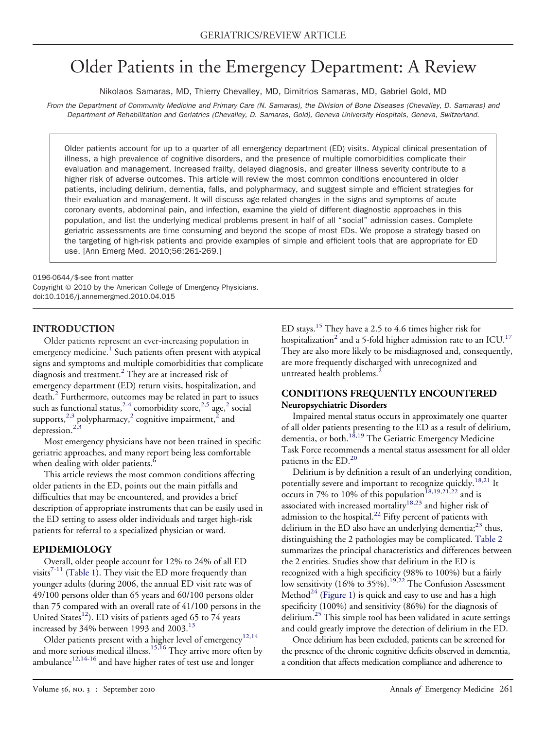# Older Patients in the Emergency Department: A Review

Nikolaos Samaras, MD, Thierry Chevalley, MD, Dimitrios Samaras, MD, Gabriel Gold, MD

*From the Department of Community Medicine and Primary Care (N. Samaras), the Division of Bone Diseases (Chevalley, D. Samaras) and Department of Rehabilitation and Geriatrics (Chevalley, D. Samaras, Gold), Geneva University Hospitals, Geneva, Switzerland.*

Older patients account for up to a quarter of all emergency department (ED) visits. Atypical clinical presentation of illness, a high prevalence of cognitive disorders, and the presence of multiple comorbidities complicate their evaluation and management. Increased frailty, delayed diagnosis, and greater illness severity contribute to a higher risk of adverse outcomes. This article will review the most common conditions encountered in older patients, including delirium, dementia, falls, and polypharmacy, and suggest simple and efficient strategies for their evaluation and management. It will discuss age-related changes in the signs and symptoms of acute coronary events, abdominal pain, and infection, examine the yield of different diagnostic approaches in this population, and list the underlying medical problems present in half of all "social" admission cases. Complete geriatric assessments are time consuming and beyond the scope of most EDs. We propose a strategy based on the targeting of high-risk patients and provide examples of simple and efficient tools that are appropriate for ED use. [Ann Emerg Med. 2010;56:261-269.]

0196-0644/\$-see front matter Copyright © 2010 by the American College of Emergency Physicians. doi:10.1016/j.annemergmed.2010.04.015

# **INTRODUCTION**

Older patients represent an ever-increasing population in emergency medicine.<sup>[1](#page-6-0)</sup> Such patients often present with atypical signs and symptoms and multiple comorbidities that complicate diagnosis and treatment.[2](#page-6-0) They are at increased risk of emergency department (ED) return visits, hospitalization, and death.<sup>2</sup> Furthermore, outcomes may be related in part to issues such as functional status,  $2-4$  comorbidity score,  $2.5$  age,  $2$  social supports, $^{2,3}$  $^{2,3}$  $^{2,3}$  polypharmacy, $^2$  $^2$  cognitive impairment, $^{\bar{2}}$  and depression.[2,3](#page-6-0)

Most emergency physicians have not been trained in specific geriatric approaches, and many report being less comfortable when dealing with older patients.<sup>[6](#page-6-0)</sup>

This article reviews the most common conditions affecting older patients in the ED, points out the main pitfalls and difficulties that may be encountered, and provides a brief description of appropriate instruments that can be easily used in the ED setting to assess older individuals and target high-risk patients for referral to a specialized physician or ward.

# **EPIDEMIOLOGY**

Overall, older people account for 12% to 24% of all ED visits $7-11$  [\(Table 1\)](#page-1-0). They visit the ED more frequently than younger adults (during 2006, the annual ED visit rate was of 49/100 persons older than 65 years and 60/100 persons older than 75 compared with an overall rate of 41/100 persons in the United States<sup>12</sup>). ED visits of patients aged 65 to  $74$  years increased by 34% between 1993 and 2003.<sup>[13](#page-6-0)</sup>

Older patients present with a higher level of emergency<sup>[12,14](#page-6-0)</sup> and more serious medical illness.<sup>[15,16](#page-6-0)</sup> They arrive more often by ambulance<sup>[12,14-16](#page-6-0)</sup> and have higher rates of test use and longer

ED stays.<sup>[15](#page-6-0)</sup> They have a 2.5 to 4.6 times higher risk for hospitalization<sup>2</sup> and a 5-fold higher admission rate to an ICU.<sup>17</sup> They are also more likely to be misdiagnosed and, consequently, are more frequently discharged with unrecognized and untreated health problems.<sup>[2](#page-6-0)</sup>

# **CONDITIONS FREQUENTLY ENCOUNTERED Neuropsychiatric Disorders**

Impaired mental status occurs in approximately one quarter of all older patients presenting to the ED as a result of delirium, dementia, or both.<sup>[18,19](#page-6-0)</sup> The Geriatric Emergency Medicine Task Force recommends a mental status assessment for all older patients in the ED.<sup>[20](#page-6-0)</sup>

Delirium is by definition a result of an underlying condition, potentially severe and important to recognize quickly.<sup>[18,21](#page-6-0)</sup> It occurs in 7% to 10% of this population<sup>18,19,21,22</sup> and is associated with increased mortality[18,23](#page-6-0) and higher risk of admission to the hospital.<sup>[22](#page-6-0)</sup> Fifty percent of patients with delirium in the ED also have an underlying dementia;<sup>[23](#page-6-0)</sup> thus, distinguishing the 2 pathologies may be complicated. [Table 2](#page-1-0) summarizes the principal characteristics and differences between the 2 entities. Studies show that delirium in the ED is recognized with a high specificity (98% to 100%) but a fairly low sensitivity (16% to 35%).<sup>[19,22](#page-6-0)</sup> The Confusion Assessment Method $^{24}$  $^{24}$  $^{24}$  [\(Figure 1\)](#page-1-0) is quick and easy to use and has a high specificity (100%) and sensitivity (86%) for the diagnosis of delirium.<sup>[25](#page-6-0)</sup> This simple tool has been validated in acute settings and could greatly improve the detection of delirium in the ED.

Once delirium has been excluded, patients can be screened for the presence of the chronic cognitive deficits observed in dementia, a condition that affects medication compliance and adherence to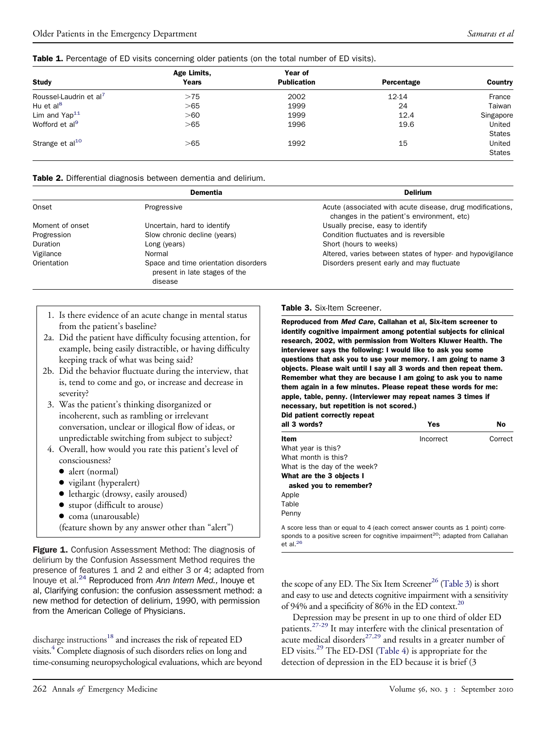#### <span id="page-1-0"></span>Table 1. Percentage of ED visits concerning older patients (on the total number of ED visits).

|                                    | Age Limits, | Year of            |            |               |
|------------------------------------|-------------|--------------------|------------|---------------|
| <b>Study</b>                       | Years       | <b>Publication</b> | Percentage | Country       |
| Roussel-Laudrin et al <sup>7</sup> | >75         | 2002               | 12-14      | France        |
| Hu et al <sup>8</sup>              | >65         | 1999               | 24         | Taiwan        |
| Lim and $\text{Yap}^{11}$          | > 60        | 1999               | 12.4       | Singapore     |
| Wofford et al <sup>9</sup>         | > 65        | 1996               | 19.6       | United        |
|                                    |             |                    |            | <b>States</b> |
| Strange et al <sup>10</sup>        | >65         | 1992               | 15         | United        |
|                                    |             |                    |            | <b>States</b> |

#### Table 2. Differential diagnosis between dementia and delirium.

|                 | <b>Dementia</b>                                                       | <b>Delirium</b>                                                                                         |
|-----------------|-----------------------------------------------------------------------|---------------------------------------------------------------------------------------------------------|
| Onset           | Progressive                                                           | Acute (associated with acute disease, drug modifications,<br>changes in the patient's environment, etc) |
| Moment of onset | Uncertain, hard to identify                                           | Usually precise, easy to identify                                                                       |
| Progression     | Slow chronic decline (years)                                          | Condition fluctuates and is reversible                                                                  |
| Duration        | Long (years)                                                          | Short (hours to weeks)                                                                                  |
| Vigilance       | Normal                                                                | Altered, varies between states of hyper- and hypovigilance                                              |
| Orientation     | Space and time orientation disorders<br>present in late stages of the | Disorders present early and may fluctuate                                                               |
|                 | disease                                                               |                                                                                                         |

- 1. Is there evidence of an acute change in mental status from the patient's baseline?
- 2a. Did the patient have difficulty focusing attention, for example, being easily distractible, or having difficulty keeping track of what was being said?
- 2b. Did the behavior fluctuate during the interview, that is, tend to come and go, or increase and decrease in severity?
- 3. Was the patient's thinking disorganized or incoherent, such as rambling or irrelevant conversation, unclear or illogical flow of ideas, or unpredictable switching from subject to subject?
- 4. Overall, how would you rate this patient's level of consciousness?
	- alert (normal)
	- vigilant (hyperalert)
	- lethargic (drowsy, easily aroused)
	- stupor (difficult to arouse)
	- coma (unarousable)
	- (feature shown by any answer other than "alert")

Figure 1. Confusion Assessment Method: The diagnosis of delirium by the Confusion Assessment Method requires the presence of features 1 and 2 and either 3 or 4; adapted from Inouye et al[.24](#page-6-0) Reproduced from *Ann Intern Med.,* Inouye et al, Clarifying confusion: the confusion assessment method: a new method for detection of delirium, 1990, with permission from the American College of Physicians.

discharge instructions<sup>18</sup> and increases the risk of repeated ED visits[.4](#page-6-0) Complete diagnosis of such disorders relies on long and time-consuming neuropsychological evaluations, which are beyond

## Table 3. Six-Item Screener.

Reproduced from *Med Care*, Callahan et al, Six-item screener to identify cognitive impairment among potential subjects for clinical research, 2002, with permission from Wolters Kluwer Health. The interviewer says the following: I would like to ask you some questions that ask you to use your memory. I am going to name 3 objects. Please wait until I say all 3 words and then repeat them. Remember what they are because I am going to ask you to name them again in a few minutes. Please repeat these words for me: apple, table, penny. (Interviewer may repeat names 3 times if necessary, but repetition is not scored.)

|                             | Did patient correctly repeat |  |
|-----------------------------|------------------------------|--|
| $\mathbf{u}$ . $\mathbf{v}$ |                              |  |

| all 3 words?                 | Yes       | No      |
|------------------------------|-----------|---------|
| Item                         | Incorrect | Correct |
| What year is this?           |           |         |
| What month is this?          |           |         |
| What is the day of the week? |           |         |
| What are the 3 objects I     |           |         |
| asked you to remember?       |           |         |
| Apple                        |           |         |
| Table                        |           |         |
| Penny                        |           |         |

A score less than or equal to 4 (each correct answer counts as 1 point) corresponds to a positive screen for cognitive impairment<sup>20</sup>; adapted from Callahan et al. $26$ 

the scope of any ED. The Six Item Screener<sup>26</sup> (Table 3) is short and easy to use and detects cognitive impairment with a sensitivity of 94% and a specificity of 86% in the ED context.<sup>20</sup>

Depression may be present in up to one third of older ED patients.[27-29](#page-6-0) It may interfere with the clinical presentation of acute medical disorders<sup>27,29</sup> and results in a greater number of ED visits.<sup>[29](#page-6-0)</sup> The ED-DSI [\(Table 4\)](#page-2-0) is appropriate for the detection of depression in the ED because it is brief (3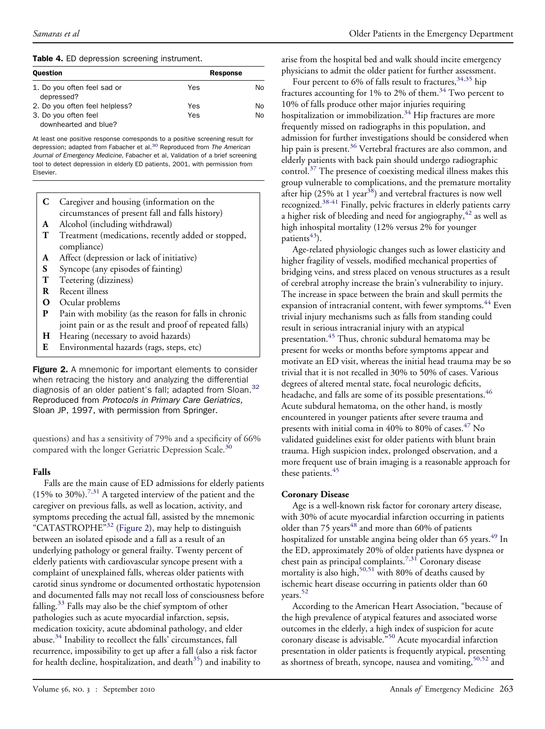#### <span id="page-2-0"></span>Table 4. ED depression screening instrument.

| <b>Ouestion</b>                               | <b>Response</b> |    |
|-----------------------------------------------|-----------------|----|
| 1. Do you often feel sad or<br>depressed?     | Yes             | N٥ |
| 2. Do you often feel helpless?                | Yes             | N٥ |
| 3. Do you often feel<br>downhearted and blue? | Yes             | Nο |

At least one positive response corresponds to a positive screening result for depression; adapted from Fabacher et al[.30](#page-6-0) Reproduced from *The American Journal of Emergency Medicine,* Fabacher et al, Validation of a brief screening tool to detect depression in elderly ED patients, 2001, with permission from Elsevier.

- **C** Caregiver and housing (information on the circumstances of present fall and falls history)
- **A** Alcohol (including withdrawal)
- **T** Treatment (medications, recently added or stopped, compliance)
- **A** Affect (depression or lack of initiative)
- **S** Syncope (any episodes of fainting)
- **T** Teetering (dizziness)
- **R** Recent illness
- **O** Ocular problems
- **P** Pain with mobility (as the reason for falls in chronic joint pain or as the result and proof of repeated falls)
- **H** Hearing (necessary to avoid hazards)
- **E** Environmental hazards (rags, steps, etc)

Figure 2. A mnemonic for important elements to consider when retracing the history and analyzing the differential diagnosis of an older patient's fall; adapted from Sloan.<sup>32</sup> Reproduced from *Protocols in Primary Care Geriatrics,* Sloan JP, 1997, with permission from Springer.

questions) and has a sensitivity of 79% and a specificity of 66% compared with the longer Geriatric Depression Scale.<sup>[30](#page-6-0)</sup>

### **Falls**

Falls are the main cause of ED admissions for elderly patients (15% to 30%).<sup>[7,31](#page-6-0)</sup> A targeted interview of the patient and the caregiver on previous falls, as well as location, activity, and symptoms preceding the actual fall, assisted by the mnemonic "CATASTROPHE<sup>"[32](#page-6-0)</sup> (Figure 2), may help to distinguish between an isolated episode and a fall as a result of an underlying pathology or general frailty. Twenty percent of elderly patients with cardiovascular syncope present with a complaint of unexplained falls, whereas older patients with carotid sinus syndrome or documented orthostatic hypotension and documented falls may not recall loss of consciousness before falling. $33$  Falls may also be the chief symptom of other pathologies such as acute myocardial infarction, sepsis, medication toxicity, acute abdominal pathology, and elder abuse.<sup>34</sup> Inability to recollect the falls' circumstances, fall recurrence, impossibility to get up after a fall (also a risk factor for health decline, hospitalization, and death $35$ ) and inability to

arise from the hospital bed and walk should incite emergency physicians to admit the older patient for further assessment.

Four percent to 6% of falls result to fractures,  $34,35$  hip fractures accounting for 1% to 2% of them.<sup>[34](#page-6-0)</sup> Two percent to 10% of falls produce other major injuries requiring hospitalization or immobilization.<sup>[34](#page-6-0)</sup> Hip fractures are more frequently missed on radiographs in this population, and admission for further investigations should be considered when hip pain is present.<sup>36</sup> Vertebral fractures are also common, and elderly patients with back pain should undergo radiographic control.[37](#page-7-0) The presence of coexisting medical illness makes this group vulnerable to complications, and the premature mortality after hip  $(25\%$  at 1 year<sup>38</sup>) and vertebral fractures is now well recognized[.38-41](#page-7-0) Finally, pelvic fractures in elderly patients carry a higher risk of bleeding and need for angiography,  $42$  as well as high inhospital mortality (12% versus 2% for younger patients<sup>43</sup>).

Age-related physiologic changes such as lower elasticity and higher fragility of vessels, modified mechanical properties of bridging veins, and stress placed on venous structures as a result of cerebral atrophy increase the brain's vulnerability to injury. The increase in space between the brain and skull permits the expansion of intracranial content, with fewer symptoms.<sup>[44](#page-7-0)</sup> Even trivial injury mechanisms such as falls from standing could result in serious intracranial injury with an atypical presentation.<sup>[45](#page-7-0)</sup> Thus, chronic subdural hematoma may be present for weeks or months before symptoms appear and motivate an ED visit, whereas the initial head trauma may be so trivial that it is not recalled in 30% to 50% of cases. Various degrees of altered mental state, focal neurologic deficits, headache, and falls are some of its possible presentations.<sup>[46](#page-7-0)</sup> Acute subdural hematoma, on the other hand, is mostly encountered in younger patients after severe trauma and presents with initial coma in 40% to 80% of cases.<sup>[47](#page-7-0)</sup> No validated guidelines exist for older patients with blunt brain trauma. High suspicion index, prolonged observation, and a more frequent use of brain imaging is a reasonable approach for these patients.<sup>45</sup>

### **Coronary Disease**

Age is a well-known risk factor for coronary artery disease, with 30% of acute myocardial infarction occurring in patients older than 75 years<sup>[48](#page-7-0)</sup> and more than 60% of patients hospitalized for unstable angina being older than 65 years.<sup>[49](#page-7-0)</sup> In the ED, approximately 20% of older patients have dyspnea or chest pain as principal complaints.<sup>[7,31](#page-6-0)</sup> Coronary disease mortality is also high,<sup>[50,51](#page-7-0)</sup> with 80% of deaths caused by ischemic heart disease occurring in patients older than 60 years.<sup>[52](#page-7-0)</sup>

According to the American Heart Association, "because of the high prevalence of atypical features and associated worse outcomes in the elderly, a high index of suspicion for acute coronary disease is advisable."[50](#page-7-0) Acute myocardial infarction presentation in older patients is frequently atypical, presenting as shortness of breath, syncope, nausea and vomiting, [50,52](#page-7-0) and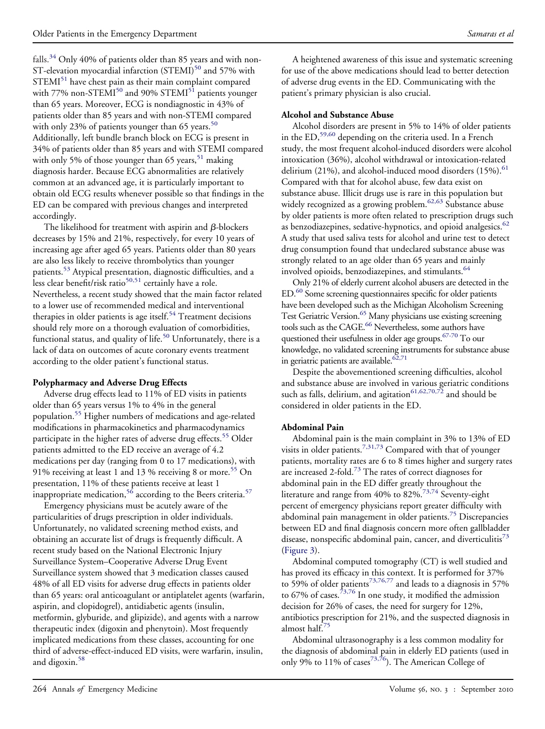falls.<sup>34</sup> Only 40% of patients older than 85 years and with non-ST-elevation myocardial infarction (STEMI)<sup>[50](#page-7-0)</sup> and 57% with  $STEMI<sup>51</sup>$  have chest pain as their main complaint compared with 77% non-STEMI<sup>[50](#page-7-0)</sup> and 90% STEMI<sup>[51](#page-7-0)</sup> patients younger than 65 years. Moreover, ECG is nondiagnostic in 43% of patients older than 85 years and with non-STEMI compared with only 23% of patients younger than 65 years.<sup>[50](#page-7-0)</sup> Additionally, left bundle branch block on ECG is present in 34% of patients older than 85 years and with STEMI compared with only 5% of those younger than 65 years,  $51$  making diagnosis harder. Because ECG abnormalities are relatively common at an advanced age, it is particularly important to obtain old ECG results whenever possible so that findings in the ED can be compared with previous changes and interpreted accordingly.

The likelihood for treatment with aspirin and  $\beta$ -blockers decreases by 15% and 21%, respectively, for every 10 years of increasing age after aged 65 years. Patients older than 80 years are also less likely to receive thrombolytics than younger patients.<sup>[53](#page-7-0)</sup> Atypical presentation, diagnostic difficulties, and a less clear benefit/risk ratio<sup>[50,51](#page-7-0)</sup> certainly have a role. Nevertheless, a recent study showed that the main factor related to a lower use of recommended medical and interventional therapies in older patients is age itself.<sup>[54](#page-7-0)</sup> Treatment decisions should rely more on a thorough evaluation of comorbidities, functional status, and quality of life.<sup>[50](#page-7-0)</sup> Unfortunately, there is a lack of data on outcomes of acute coronary events treatment according to the older patient's functional status.

### **Polypharmacy and Adverse Drug Effects**

Adverse drug effects lead to 11% of ED visits in patients older than 65 years versus 1% to 4% in the general population[.55](#page-7-0) Higher numbers of medications and age-related modifications in pharmacokinetics and pharmacodynamics participate in the higher rates of adverse drug effects.<sup>[55](#page-7-0)</sup> Older patients admitted to the ED receive an average of 4.2 medications per day (ranging from 0 to 17 medications), with 91% receiving at least 1 and 13 % receiving 8 or more.<sup>[55](#page-7-0)</sup> On presentation, 11% of these patients receive at least 1 inappropriate medication,<sup>[56](#page-7-0)</sup> according to the Beers criteria.<sup>[57](#page-7-0)</sup>

Emergency physicians must be acutely aware of the particularities of drugs prescription in older individuals. Unfortunately, no validated screening method exists, and obtaining an accurate list of drugs is frequently difficult. A recent study based on the National Electronic Injury Surveillance System–Cooperative Adverse Drug Event Surveillance system showed that 3 medication classes caused 48% of all ED visits for adverse drug effects in patients older than 65 years: oral anticoagulant or antiplatelet agents (warfarin, aspirin, and clopidogrel), antidiabetic agents (insulin, metformin, glyburide, and glipizide), and agents with a narrow therapeutic index (digoxin and phenytoin). Most frequently implicated medications from these classes, accounting for one third of adverse-effect-induced ED visits, were warfarin, insulin, and digoxin.<sup>[58](#page-7-0)</sup>

A heightened awareness of this issue and systematic screening for use of the above medications should lead to better detection of adverse drug events in the ED. Communicating with the patient's primary physician is also crucial.

## **Alcohol and Substance Abuse**

Alcohol disorders are present in 5% to 14% of older patients in the ED,<sup>[59,60](#page-7-0)</sup> depending on the criteria used. In a French study, the most frequent alcohol-induced disorders were alcohol intoxication (36%), alcohol withdrawal or intoxication-related delirium  $(21\%)$ , and alcohol-induced mood disorders  $(15\%)$ .<sup>[61](#page-7-0)</sup> Compared with that for alcohol abuse, few data exist on substance abuse. Illicit drugs use is rare in this population but widely recognized as a growing problem.<sup>[62,63](#page-7-0)</sup> Substance abuse by older patients is more often related to prescription drugs such as benzodiazepines, sedative-hypnotics, and opioid analgesics. $62$ A study that used saliva tests for alcohol and urine test to detect drug consumption found that undeclared substance abuse was strongly related to an age older than 65 years and mainly involved opioids, benzodiazepines, and stimulants.<sup>[64](#page-7-0)</sup>

Only 21% of elderly current alcohol abusers are detected in the ED.<sup>60</sup> Some screening questionnaires specific for older patients have been developed such as the Michigan Alcoholism Screening Test Geriatric Version.<sup>65</sup> Many physicians use existing screening tools such as the CAGE.<sup>66</sup> Nevertheless, some authors have questioned their usefulness in older age groups.<sup>67-70</sup> To our knowledge, no validated screening instruments for substance abuse in geriatric patients are available. $62,71$ 

Despite the abovementioned screening difficulties, alcohol and substance abuse are involved in various geriatric conditions such as falls, delirium, and agitation $^{61,62,70,72}$  $^{61,62,70,72}$  $^{61,62,70,72}$  and should be considered in older patients in the ED.

## **Abdominal Pain**

Abdominal pain is the main complaint in 3% to 13% of ED visits in older patients.<sup>[7,31,73](#page-6-0)</sup> Compared with that of younger patients, mortality rates are 6 to 8 times higher and surgery rates are increased 2-fold.<sup>73</sup> The rates of correct diagnoses for abdominal pain in the ED differ greatly throughout the literature and range from 40% to 82%.<sup>[73,74](#page-7-0)</sup> Seventy-eight percent of emergency physicians report greater difficulty with abdominal pain management in older patients.<sup>[75](#page-7-0)</sup> Discrepancies between ED and final diagnosis concern more often gallbladder disease, nonspecific abdominal pain, cancer, and diverticulitis<sup>[73](#page-7-0)</sup> [\(Figure 3\)](#page-4-0).

Abdominal computed tomography (CT) is well studied and has proved its efficacy in this context. It is performed for 37% to 59% of older patients<sup>[73,76,77](#page-7-0)</sup> and leads to a diagnosis in 57% to  $67\%$  of cases.<sup>73,76</sup> In one study, it modified the admission decision for 26% of cases, the need for surgery for 12%, antibiotics prescription for 21%, and the suspected diagnosis in almost half.[75](#page-7-0)

Abdominal ultrasonography is a less common modality for the diagnosis of abdominal pain in elderly ED patients (used in only 9% to 11% of cases<sup>73,76</sup>). The American College of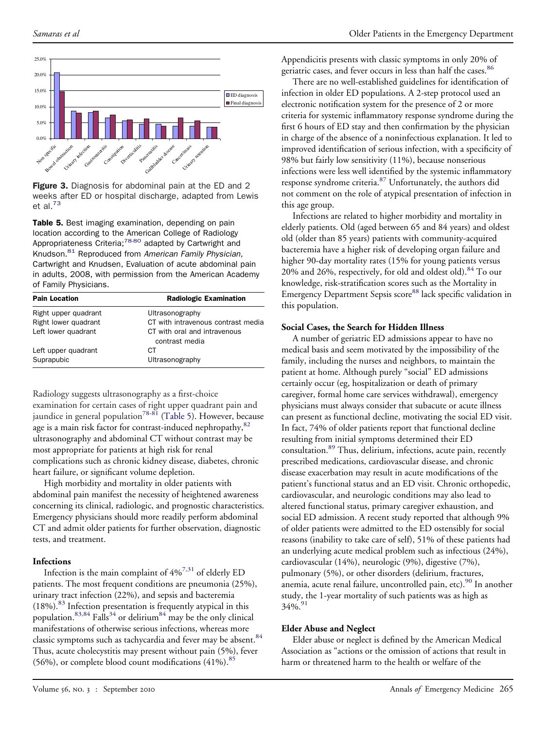<span id="page-4-0"></span>

Figure 3. Diagnosis for abdominal pain at the ED and 2 weeks after ED or hospital discharge, adapted from Lewis et al[.73](#page-7-0)

Table 5. Best imaging examination, depending on pain location according to the American College of Radiology Appropriateness Criteria;<sup>78-80</sup> adapted by Cartwright and Knudson.[81](#page-8-0) Reproduced from *American Family Physician,* Cartwright and Knudsen, Evaluation of acute abdominal pain in adults, 2008, with permission from the American Academy of Family Physicians.

| <b>Pain Location</b> | <b>Radiologic Examination</b>                  |
|----------------------|------------------------------------------------|
| Right upper quadrant | Ultrasonography                                |
| Right lower quadrant | CT with intravenous contrast media             |
| Left lower quadrant  | CT with oral and intravenous<br>contrast media |
| Left upper quadrant  | CТ                                             |
| Suprapubic           | Ultrasonography                                |

Radiology suggests ultrasonography as a first-choice examination for certain cases of right upper quadrant pain and jaundice in general population<sup>[78-81](#page-8-0)</sup> (Table 5). However, because age is a main risk factor for contrast-induced nephropathy, [82](#page-8-0) ultrasonography and abdominal CT without contrast may be most appropriate for patients at high risk for renal complications such as chronic kidney disease, diabetes, chronic heart failure, or significant volume depletion.

High morbidity and mortality in older patients with abdominal pain manifest the necessity of heightened awareness concerning its clinical, radiologic, and prognostic characteristics. Emergency physicians should more readily perform abdominal CT and admit older patients for further observation, diagnostic tests, and treatment.

### **Infections**

Infection is the main complaint of 4%[7,31](#page-6-0) of elderly ED patients. The most frequent conditions are pneumonia (25%), urinary tract infection (22%), and sepsis and bacteremia  $(18%)$ .<sup>[83](#page-8-0)</sup> Infection presentation is frequently atypical in this population.<sup>[83,84](#page-8-0)</sup> Falls<sup>[34](#page-6-0)</sup> or delirium<sup>[84](#page-8-0)</sup> may be the only clinical manifestations of otherwise serious infections, whereas more classic symptoms such as tachycardia and fever may be absent.<sup>[84](#page-8-0)</sup> Thus, acute cholecystitis may present without pain (5%), fever (56%), or complete blood count modifications  $(41\%)$ .<sup>[85](#page-8-0)</sup>

Appendicitis presents with classic symptoms in only 20% of geriatric cases, and fever occurs in less than half the cases.<sup>[86](#page-8-0)</sup>

There are no well-established guidelines for identification of infection in older ED populations. A 2-step protocol used an electronic notification system for the presence of 2 or more criteria for systemic inflammatory response syndrome during the first 6 hours of ED stay and then confirmation by the physician in charge of the absence of a noninfectious explanation. It led to improved identification of serious infection, with a specificity of 98% but fairly low sensitivity (11%), because nonserious infections were less well identified by the systemic inflammatory response syndrome criteria.<sup>[87](#page-8-0)</sup> Unfortunately, the authors did not comment on the role of atypical presentation of infection in this age group.

Infections are related to higher morbidity and mortality in elderly patients. Old (aged between 65 and 84 years) and oldest old (older than 85 years) patients with community-acquired bacteremia have a higher risk of developing organ failure and higher 90-day mortality rates (15% for young patients versus 20% and 26%, respectively, for old and oldest old).  $84$  To our knowledge, risk-stratification scores such as the Mortality in Emergency Department Sepsis score<sup>[88](#page-8-0)</sup> lack specific validation in this population.

## **Social Cases, the Search for Hidden Illness**

A number of geriatric ED admissions appear to have no medical basis and seem motivated by the impossibility of the family, including the nurses and neighbors, to maintain the patient at home. Although purely "social" ED admissions certainly occur (eg, hospitalization or death of primary caregiver, formal home care services withdrawal), emergency physicians must always consider that subacute or acute illness can present as functional decline, motivating the social ED visit. In fact, 74% of older patients report that functional decline resulting from initial symptoms determined their ED consultation.<sup>89</sup> Thus, delirium, infections, acute pain, recently prescribed medications, cardiovascular disease, and chronic disease exacerbation may result in acute modifications of the patient's functional status and an ED visit. Chronic orthopedic, cardiovascular, and neurologic conditions may also lead to altered functional status, primary caregiver exhaustion, and social ED admission. A recent study reported that although 9% of older patients were admitted to the ED ostensibly for social reasons (inability to take care of self), 51% of these patients had an underlying acute medical problem such as infectious (24%), cardiovascular (14%), neurologic (9%), digestive (7%), pulmonary (5%), or other disorders (delirium, fractures, anemia, acute renal failure, uncontrolled pain, etc).<sup>[90](#page-8-0)</sup> In another study, the 1-year mortality of such patients was as high as  $34\%$ <sup>[91](#page-8-0)</sup>

### **Elder Abuse and Neglect**

Elder abuse or neglect is defined by the American Medical Association as "actions or the omission of actions that result in harm or threatened harm to the health or welfare of the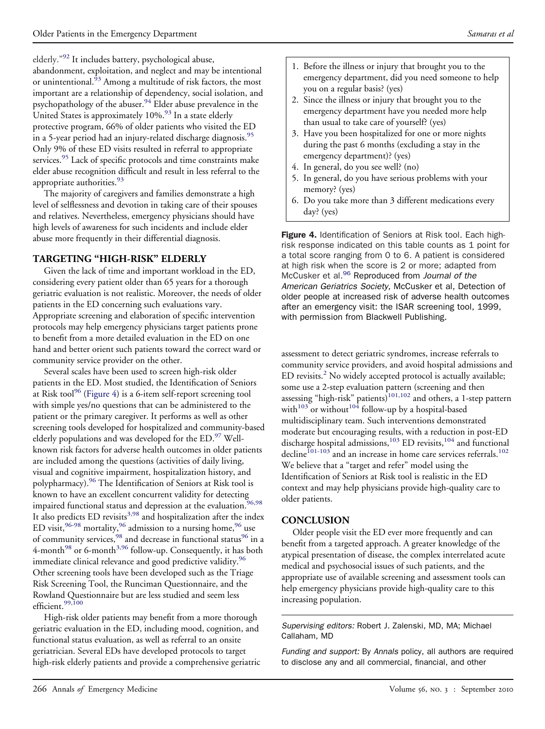elderly."[92](#page-8-0) It includes battery, psychological abuse,

abandonment, exploitation, and neglect and may be intentional or unintentional. $^{53}$  Among a multitude of risk factors, the most important are a relationship of dependency, social isolation, and psychopathology of the abuser.[94](#page-8-0) Elder abuse prevalence in the United States is approximately  $10\%$ .<sup>[93](#page-8-0)</sup> In a state elderly protective program, 66% of older patients who visited the ED in a 5-year period had an injury-related discharge diagnosis.<sup>[95](#page-8-0)</sup> Only 9% of these ED visits resulted in referral to appropriate services.<sup>[95](#page-8-0)</sup> Lack of specific protocols and time constraints make elder abuse recognition difficult and result in less referral to the appropriate authorities.<sup>[93](#page-8-0)</sup>

The majority of caregivers and families demonstrate a high level of selflessness and devotion in taking care of their spouses and relatives. Nevertheless, emergency physicians should have high levels of awareness for such incidents and include elder abuse more frequently in their differential diagnosis.

# **TARGETING "HIGH-RISK" ELDERLY**

Given the lack of time and important workload in the ED, considering every patient older than 65 years for a thorough geriatric evaluation is not realistic. Moreover, the needs of older patients in the ED concerning such evaluations vary. Appropriate screening and elaboration of specific intervention protocols may help emergency physicians target patients prone to benefit from a more detailed evaluation in the ED on one hand and better orient such patients toward the correct ward or community service provider on the other.

Several scales have been used to screen high-risk older patients in the ED. Most studied, the Identification of Seniors at Risk tool $96$  (Figure 4) is a 6-item self-report screening tool with simple yes/no questions that can be administered to the patient or the primary caregiver. It performs as well as other screening tools developed for hospitalized and community-based elderly populations and was developed for the ED.<sup>[97](#page-8-0)</sup> Wellknown risk factors for adverse health outcomes in older patients are included among the questions (activities of daily living, visual and cognitive impairment, hospitalization history, and polypharmacy)[.96](#page-8-0) The Identification of Seniors at Risk tool is polypharmacy). The recommended of the concurrent validity for detecting<br>known to have an excellent concurrent validity for detecting  $\frac{96.98}{26.98}$ impaired functional status and depression at the evaluation.<sup>9</sup> It also predicts ED revisits<sup>[3,98](#page-6-0)</sup> and hospitalization after the index ED visit,  $96-98$  mortality,  $96$  admission to a nursing home,  $96$  use of community services,<sup>98</sup> and decrease in functional status<sup>[96](#page-8-0)</sup> in a 4-month<sup>[98](#page-8-0)</sup> or 6-month<sup>[3,96](#page-6-0)</sup> follow-up. Consequently, it has both immediate clinical relevance and good predictive validity.<sup>[96](#page-8-0)</sup> Other screening tools have been developed such as the Triage Risk Screening Tool, the Runciman Questionnaire, and the Rowland Questionnaire but are less studied and seem less efficient.<sup>[99,100](#page-8-0)</sup>

High-risk older patients may benefit from a more thorough geriatric evaluation in the ED, including mood, cognition, and functional status evaluation, as well as referral to an onsite geriatrician. Several EDs have developed protocols to target high-risk elderly patients and provide a comprehensive geriatric

- 1. Before the illness or injury that brought you to the emergency department, did you need someone to help you on a regular basis? (yes)
- 2. Since the illness or injury that brought you to the emergency department have you needed more help than usual to take care of yourself? (yes)
- 3. Have you been hospitalized for one or more nights during the past 6 months (excluding a stay in the emergency department)? (yes)
- 4. In general, do you see well? (no)
- 5. In general, do you have serious problems with your memory? (yes)
- 6. Do you take more than 3 different medications every day? (yes)

Figure 4. Identification of Seniors at Risk tool. Each highrisk response indicated on this table counts as 1 point for a total score ranging from 0 to 6. A patient is considered at high risk when the score is 2 or more; adapted from McCusker et al[.96](#page-8-0) Reproduced from *Journal of the American Geriatrics Society,* McCusker et al, Detection of older people at increased risk of adverse health outcomes after an emergency visit: the ISAR screening tool, 1999, with permission from Blackwell Publishing.

assessment to detect geriatric syndromes, increase referrals to community service providers, and avoid hospital admissions and ED revisits.<sup>[2](#page-6-0)</sup> No widely accepted protocol is actually available; some use a 2-step evaluation pattern (screening and then assessing "high-risk" patients)<sup>101,102</sup> and others, a 1-step pattern with<sup>[103](#page-8-0)</sup> or without<sup>104</sup> follow-up by a hospital-based multidisciplinary team. Such interventions demonstrated moderate but encouraging results, with a reduction in post-ED discharge hospital admissions,<sup>103</sup> ED revisits,<sup>104</sup> and functional  $\text{decline}^{101-103}$  $\text{decline}^{101-103}$  $\text{decline}^{101-103}$  and an increase in home care services referrals.<sup>[102](#page-8-0)</sup> We believe that a "target and refer" model using the Identification of Seniors at Risk tool is realistic in the ED context and may help physicians provide high-quality care to older patients.

## **CONCLUSION**

Older people visit the ED ever more frequently and can benefit from a targeted approach. A greater knowledge of the atypical presentation of disease, the complex interrelated acute medical and psychosocial issues of such patients, and the appropriate use of available screening and assessment tools can help emergency physicians provide high-quality care to this increasing population.

*Supervising editors:* Robert J. Zalenski, MD, MA; Michael Callaham, MD

*Funding and support:* By *Annals* policy, all authors are required to disclose any and all commercial, financial, and other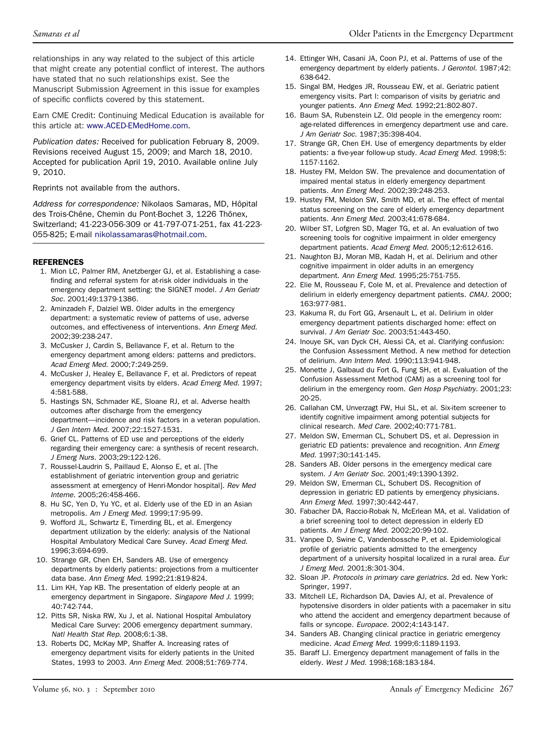<span id="page-6-0"></span>relationships in any way related to the subject of this article that might create any potential conflict of interest. The authors have stated that no such relationships exist. See the Manuscript Submission Agreement in this issue for examples of specific conflicts covered by this statement.

Earn CME Credit: Continuing Medical Education is available for this article at: [www.ACED-EMedHome.com.](http://www.ACED-EMedHome.com)

*Publication dates:* Received for publication February 8, 2009. Revisions received August 15, 2009; and March 18, 2010. Accepted for publication April 19, 2010. Available online July 9, 2010.

Reprints not available from the authors.

*Address for correspondence:* Nikolaos Samaras, MD, Hôpital des Trois-Chêne, Chemin du Pont-Bochet 3, 1226 Thônex, Switzerland; 41-223-056-309 or 41-797-071-251, fax 41-223- 055-825; E-mail [nikolassamaras@hotmail.com.](mailto:nikolassamaras@hotmail.com)

#### **REFERENCES**

- 1. Mion LC, Palmer RM, Anetzberger GJ, et al. Establishing a casefinding and referral system for at-risk older individuals in the emergency department setting: the SIGNET model. *J Am Geriatr Soc.* 2001;49:1379-1386.
- 2. Aminzadeh F, Dalziel WB. Older adults in the emergency department: a systematic review of patterns of use, adverse outcomes, and effectiveness of interventions. *Ann Emerg Med.* 2002;39:238-247.
- 3. McCusker J, Cardin S, Bellavance F, et al. Return to the emergency department among elders: patterns and predictors. *Acad Emerg Med.* 2000;7:249-259.
- 4. McCusker J, Healey E, Bellavance F, et al. Predictors of repeat emergency department visits by elders. *Acad Emerg Med.* 1997; 4:581-588.
- 5. Hastings SN, Schmader KE, Sloane RJ, et al. Adverse health outcomes after discharge from the emergency department—incidence and risk factors in a veteran population. *J Gen Intern Med.* 2007;22:1527-1531.
- 6. Grief CL. Patterns of ED use and perceptions of the elderly regarding their emergency care: a synthesis of recent research. *J Emerg Nurs.* 2003;29:122-126.
- 7. Roussel-Laudrin S, Paillaud E, Alonso E, et al. [The establishment of geriatric intervention group and geriatric assessment at emergency of Henri-Mondor hospital]. *Rev Med Interne.* 2005;26:458-466.
- 8. Hu SC, Yen D, Yu YC, et al. Elderly use of the ED in an Asian metropolis. *Am J Emerg Med.* 1999;17:95-99.
- 9. Wofford JL, Schwartz E, Timerding BL, et al. Emergency department utilization by the elderly: analysis of the National Hospital Ambulatory Medical Care Survey. *Acad Emerg Med.* 1996;3:694-699.
- 10. Strange GR, Chen EH, Sanders AB. Use of emergency departments by elderly patients: projections from a multicenter data base. *Ann Emerg Med*. 1992;21:819-824.
- 11. Lim KH, Yap KB. The presentation of elderly people at an emergency department in Singapore. *Singapore Med J*. 1999; 40:742-744.
- 12. Pitts SR, Niska RW, Xu J, et al. National Hospital Ambulatory Medical Care Survey: 2006 emergency department summary. *Natl Health Stat Rep*. 2008;6:1-38.
- 13. Roberts DC, McKay MP, Shaffer A. Increasing rates of emergency department visits for elderly patients in the United States, 1993 to 2003. *Ann Emerg Med*. 2008;51:769-774.
- 14. Ettinger WH, Casani JA, Coon PJ, et al. Patterns of use of the emergency department by elderly patients. *J Gerontol*. 1987;42: 638-642.
- 15. Singal BM, Hedges JR, Rousseau EW, et al. Geriatric patient emergency visits. Part I: comparison of visits by geriatric and younger patients. *Ann Emerg Med*. 1992;21:802-807.
- 16. Baum SA, Rubenstein LZ. Old people in the emergency room: age-related differences in emergency department use and care. *J Am Geriatr Soc*. 1987;35:398-404.
- 17. Strange GR, Chen EH. Use of emergency departments by elder patients: a five-year follow-up study. *Acad Emerg Med*. 1998;5: 1157-1162.
- 18. Hustey FM, Meldon SW. The prevalence and documentation of impaired mental status in elderly emergency department patients. *Ann Emerg Med.* 2002;39:248-253.
- 19. Hustey FM, Meldon SW, Smith MD, et al. The effect of mental status screening on the care of elderly emergency department patients. *Ann Emerg Med.* 2003;41:678-684.
- 20. Wilber ST, Lofgren SD, Mager TG, et al. An evaluation of two screening tools for cognitive impairment in older emergency department patients. *Acad Emerg Med.* 2005;12:612-616.
- 21. Naughton BJ, Moran MB, Kadah H, et al. Delirium and other cognitive impairment in older adults in an emergency department. *Ann Emerg Med.* 1995;25:751-755.
- 22. Elie M, Rousseau F, Cole M, et al. Prevalence and detection of delirium in elderly emergency department patients. *CMAJ.* 2000; 163:977-981.
- 23. Kakuma R, du Fort GG, Arsenault L, et al. Delirium in older emergency department patients discharged home: effect on survival. *J Am Geriatr Soc.* 2003;51:443-450.
- 24. Inouye SK, van Dyck CH, Alessi CA, et al. Clarifying confusion: the Confusion Assessment Method. A new method for detection of delirium. *Ann Intern Med.* 1990;113:941-948.
- 25. Monette J, Galbaud du Fort G, Fung SH, et al. Evaluation of the Confusion Assessment Method (CAM) as a screening tool for delirium in the emergency room. *Gen Hosp Psychiatry.* 2001;23: 20-25.
- 26. Callahan CM, Unverzagt FW, Hui SL, et al. Six-item screener to identify cognitive impairment among potential subjects for clinical research. *Med Care*. 2002;40:771-781.
- 27. Meldon SW, Emerman CL, Schubert DS, et al. Depression in geriatric ED patients: prevalence and recognition. *Ann Emerg Med.* 1997;30:141-145.
- 28. Sanders AB. Older persons in the emergency medical care system. *J Am Geriatr Soc.* 2001;49:1390-1392.
- 29. Meldon SW, Emerman CL, Schubert DS. Recognition of depression in geriatric ED patients by emergency physicians. *Ann Emerg Med*. 1997;30:442-447.
- 30. Fabacher DA, Raccio-Robak N, McErlean MA, et al. Validation of a brief screening tool to detect depression in elderly ED patients. *Am J Emerg Med.* 2002;20:99-102.
- 31. Vanpee D, Swine C, Vandenbossche P, et al. Epidemiological profile of geriatric patients admitted to the emergency department of a university hospital localized in a rural area. *Eur J Emerg Med.* 2001;8:301-304.
- 32. Sloan JP. *Protocols in primary care geriatrics*. 2d ed. New York: Springer, 1997.
- 33. Mitchell LE, Richardson DA, Davies AJ, et al. Prevalence of hypotensive disorders in older patients with a pacemaker in situ who attend the accident and emergency department because of falls or syncope. *Europace.* 2002;4:143-147.
- 34. Sanders AB. Changing clinical practice in geriatric emergency medicine. *Acad Emerg Med.* 1999;6:1189-1193.
- 35. Baraff LJ. Emergency department management of falls in the elderly. *West J Med.* 1998;168:183-184.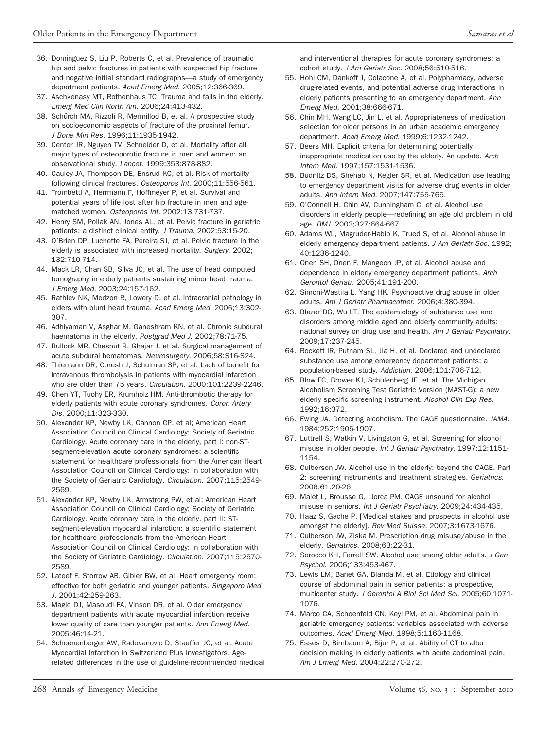- <span id="page-7-0"></span>36. Dominguez S, Liu P, Roberts C, et al. Prevalence of traumatic hip and pelvic fractures in patients with suspected hip fracture and negative initial standard radiographs—a study of emergency department patients. *Acad Emerg Med*. 2005;12:366-369.
- 37. Aschkenasy MT, Rothenhaus TC. Trauma and falls in the elderly. *Emerg Med Clin North Am.* 2006;24:413-432.
- 38. Schürch MA, Rizzoli R, Mermillod B, et al. A prospective study on socioeconomic aspects of fracture of the proximal femur. *J Bone Min Res.* 1996;11:1935-1942.
- 39. Center JR, Nguyen TV, Schneider D, et al. Mortality after all major types of osteoporotic fracture in men and women: an observational study. *Lancet.* 1999;353:878-882.
- 40. Cauley JA, Thompson DE, Ensrud KC, et al. Risk of mortality following clinical fractures. *Osteoporos Int*. 2000;11:556-561.
- 41. Trombetti A, Herrmann F, Hoffmeyer P, et al. Survival and potential years of life lost after hip fracture in men and agematched women. *Osteoporos Int.* 2002;13:731-737.
- 42. Henry SM, Pollak AN, Jones AL, et al. Pelvic fracture in geriatric patients: a distinct clinical entity. *J Trauma*. 2002;53:15-20.
- 43. O'Brien DP, Luchette FA, Pereira SJ, et al. Pelvic fracture in the elderly is associated with increased mortality. *Surgery.* 2002; 132:710-714.
- 44. Mack LR, Chan SB, Silva JC, et al. The use of head computed tomography in elderly patients sustaining minor head trauma. *J Emerg Med.* 2003;24:157-162.
- 45. Rathlev NK, Medzon R, Lowery D, et al. Intracranial pathology in elders with blunt head trauma. *Acad Emerg Med*. 2006;13:302- 307.
- 46. Adhiyaman V, Asghar M, Ganeshram KN, et al. Chronic subdural haematoma in the elderly. *Postgrad Med J*. 2002;78:71-75.
- 47. Bullock MR, Chesnut R, Ghajar J, et al. Surgical management of acute subdural hematomas. *Neurosurgery.* 2006;58:S16-S24.
- 48. Thiemann DR, Coresh J, Schulman SP, et al. Lack of benefit for intravenous thrombolysis in patients with myocardial infarction who are older than 75 years. *Circulation.* 2000;101:2239-2246.
- 49. Chen YT, Tuohy ER, Krumholz HM. Anti-thrombotic therapy for elderly patients with acute coronary syndromes. *Coron Artery Dis.* 2000;11:323-330.
- 50. Alexander KP, Newby LK, Cannon CP, et al; American Heart Association Council on Clinical Cardiology; Society of Geriatric Cardiology. Acute coronary care in the elderly, part I: non-STsegment-elevation acute coronary syndromes: a scientific statement for healthcare professionals from the American Heart Association Council on Clinical Cardiology: in collaboration with the Society of Geriatric Cardiology. *Circulation.* 2007;115:2549- 2569.
- 51. Alexander KP, Newby LK, Armstrong PW, et al; American Heart Association Council on Clinical Cardiology; Society of Geriatric Cardiology. Acute coronary care in the elderly, part II: STsegment-elevation myocardial infarction: a scientific statement for healthcare professionals from the American Heart Association Council on Clinical Cardiology: in collaboration with the Society of Geriatric Cardiology. *Circulation*. 2007;115:2570- 2589.
- 52. Lateef F, Storrow AB, Gibler BW, et al. Heart emergency room: effective for both geriatric and younger patients. *Singapore Med J.* 2001;42:259-263.
- 53. Magid DJ, Masoudi FA, Vinson DR, et al. Older emergency department patients with acute myocardial infarction receive lower quality of care than younger patients. *Ann Emerg Med.* 2005;46:14-21.
- 54. Schoenenberger AW, Radovanovic D, Stauffer JC, et al; Acute Myocardial Infarction in Switzerland Plus Investigators. Agerelated differences in the use of guideline-recommended medical

and interventional therapies for acute coronary syndromes: a cohort study. *J Am Geriatr Soc*. 2008;56:510-516.

- 55. Hohl CM, Dankoff J, Colacone A, et al. Polypharmacy, adverse drug-related events, and potential adverse drug interactions in elderly patients presenting to an emergency department. *Ann Emerg Med.* 2001;38:666-671.
- 56. Chin MH, Wang LC, Jin L, et al. Appropriateness of medication selection for older persons in an urban academic emergency department. *Acad Emerg Med*. 1999;6:1232-1242.
- 57. Beers MH. Explicit criteria for determining potentially inappropriate medication use by the elderly. An update. *Arch Intern Med.* 1997;157:1531-1536.
- 58. Budnitz DS, Shehab N, Kegler SR, et al. Medication use leading to emergency department visits for adverse drug events in older adults. *Ann Intern Med*. 2007;147:755-765.
- 59. O'Connell H, Chin AV, Cunningham C, et al. Alcohol use disorders in elderly people—redefining an age old problem in old age. *BMJ.* 2003;327:664-667.
- 60. Adams WL, Magruder-Habib K, Trued S, et al. Alcohol abuse in elderly emergency department patients. *J Am Geriatr Soc*. 1992; 40:1236-1240.
- 61. Onen SH, Onen F, Mangeon JP, et al. Alcohol abuse and dependence in elderly emergency department patients. *Arch Gerontol Geriatr*. 2005;41:191-200.
- 62. Simoni-Wastila L, Yang HK. Psychoactive drug abuse in older adults. *Am J Geriatr Pharmacother*. 2006;4:380-394.
- 63. Blazer DG, Wu LT. The epidemiology of substance use and disorders among middle aged and elderly community adults: national survey on drug use and health. *Am J Geriatr Psychiatry*. 2009;17:237-245.
- 64. Rockett IR, Putnam SL, Jia H, et al. Declared and undeclared substance use among emergency department patients: a population-based study. *Addiction*. 2006;101:706-712.
- 65. Blow FC, Brower KJ, Schulenberg JE, et al. The Michigan Alcoholism Screening Test Geriatric Version (MAST-G): a new elderly specific screening instrument. *Alcohol Clin Exp Res*. 1992;16:372.
- 66. Ewing JA. Detecting alcoholism. The CAGE questionnaire. *JAMA.* 1984;252:1905-1907.
- 67. Luttrell S, Watkin V, Livingston G, et al. Screening for alcohol misuse in older people. *Int J Geriatr Psychiatry*. 1997;12:1151- 1154.
- 68. Culberson JW. Alcohol use in the elderly: beyond the CAGE. Part 2: screening instruments and treatment strategies. *Geriatrics.* 2006;61:20-26.
- 69. Malet L, Brousse G, Llorca PM. CAGE unsound for alcohol misuse in seniors. *Int J Geriatr Psychiatry*. 2009;24:434-435.
- 70. Haaz S, Gache P. [Medical stakes and prospects in alcohol use amongst the elderly]. *Rev Med Suisse.* 2007;3:1673-1676.
- 71. Culberson JW, Ziska M. Prescription drug misuse/abuse in the elderly. *Geriatrics.* 2008;63:22-31.
- 72. Sorocco KH, Ferrell SW. Alcohol use among older adults. *J Gen Psychol*. 2006;133:453-467.
- 73. Lewis LM, Banet GA, Blanda M, et al. Etiology and clinical course of abdominal pain in senior patients: a prospective, multicenter study. *J Gerontol A Biol Sci Med Sci.* 2005;60:1071- 1076.
- 74. Marco CA, Schoenfeld CN, Keyl PM, et al. Abdominal pain in geriatric emergency patients: variables associated with adverse outcomes. *Acad Emerg Med.* 1998;5:1163-1168.
- 75. Esses D, Birnbaum A, Bijur P, et al. Ability of CT to alter decision making in elderly patients with acute abdominal pain. *Am J Emerg Med*. 2004;22:270-272.